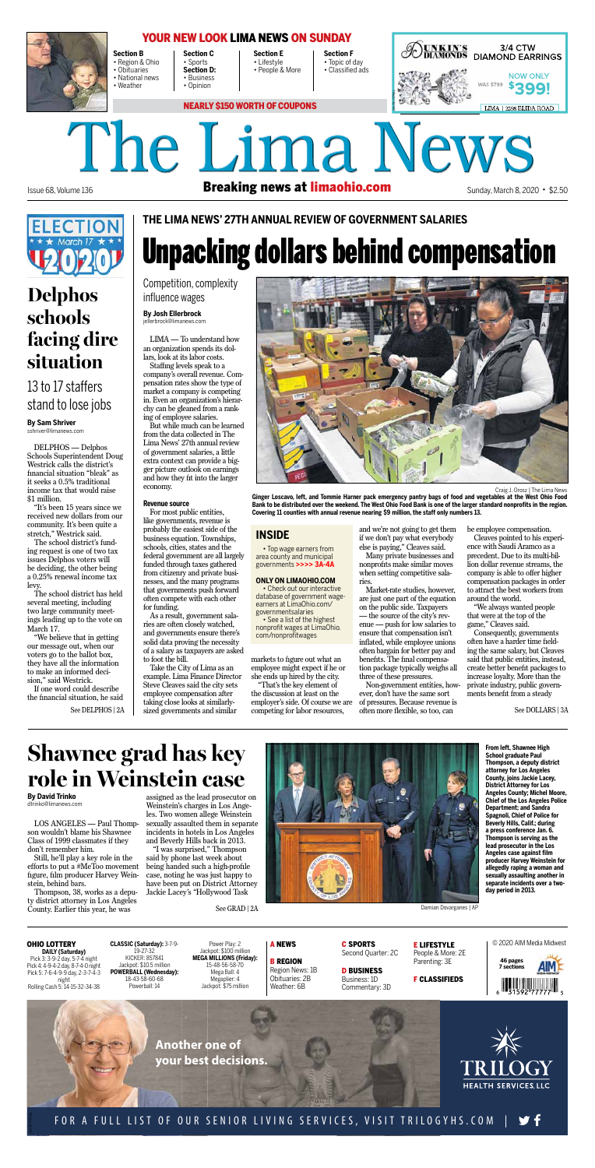**Section B** • Region & Ohio • Obituaries • National news • Weather

• Sports

**Section C Section D:** • Business • Opinion

**Section E** • Lifestyle • People & More

**Section F** • Topic of day • Classified ads



**DAILY (Saturday)** Pick 3: 3-9-2 day, 5-7-4 night Pick 4: 4-9-4-2 day, 8-7-4-0 night Pick 5: 7-6-4-9-9 day, 2-3-7-4-3 night Rolling Cash 5: 14-15-32-34-38

**CLASSIC (Saturday):** 3-7-9- 19-27-32 KICKER: 857841 Jackpot: \$10.5 million **POWERBALL (Wednesday):** 18-43-58-60-68 Powerball: 14

Power Play: 2 Jackpot: \$100 million **MEGA MILLIONS (Friday):** 15-48-56-58-70 Mega Ball: 4 Megaplier: 4 Jackpot: \$75 million

### A NEWS

B REGION Region News: 1B Obituaries: 2B Weather: 6B

C SPORTS Second Quarter: 2C

D BUSINESS Business: 1D Commentary: 3D E LIFESTYLE People & More: 2E Parenting: 3E

F CLASSIFIEDS

© 2020 AIM Media Midwest





The Lima News Issue 68, Volume 136 **Breaking news at limaohio.com** Sunday, March 8, 2020 • \$2.50





## FOR A FULL LIST OF OUR SENIOR LIVING SERVICES, VISIT TRILOGYHS.COM

# Unpacking dollars behind compensation

**By Josh Ellerbrock** jellerbrock@limanews.com

LIMA — To understand how an organization spends its dollars, look at its labor costs.

Staffing levels speak to a company's overall revenue. Compensation rates show the type of market a company is competing in. Even an organization's hierarchy can be gleaned from a ranking of employee salaries.

But while much can be learned from the data collected in The Lima News' 27th annual review of government salaries, a little extra context can provide a bigger picture outlook on earnings and how they fit into the larger economy.

#### **Revenue source**

For most public entities, like governments, revenue is probably the easiest side of the business equation. Townships, schools, cities, states and the federal government are all largely funded through taxes gathered from citizenry and private businesses, and the many programs that governments push forward often compete with each other for funding.

As a result, government salaries are often closely watched, and governments ensure there's solid data proving the necessity of a salary as taxpayers are asked to foot the bill.

Take the City of Lima as an



example. Lima Finance Director Steve Cleaves said the city sets employee compensation after taking close looks at similarlysized governments and similar

markets to figure out what an employee might expect if he or she ends up hired by the city. "That's the key element of the discussion at least on the employer's side. Of course we are competing for labor resources,

and we're not going to get them if we don't pay what everybody else is paying," Cleaves said.

Many private businesses and nonprofits make similar moves when setting competitive salaries.

Market-rate studies, however, are just one part of the equation on the public side. Taxpayers — the source of the city's revenue — push for low salaries to ensure that compensation isn't inflated, while employee unions often bargain for better pay and benefits. The final compensation package typically weighs all

three of these pressures.

Non-government entities, however, don't have the same sort of pressures. Because revenue is often more flexible, so too, can

See DOLLARS | 3A

The school district has held several meeting, including two large community meetings leading up to the vote on March 17.

be employee compensation.

"We believe that in getting our message out, when our voters go to the ballot box, they have all the information to make an informed decision," said Westrick. If one word could describe the financial situation, he said See DELPHOS | 2A

Cleaves pointed to his experience with Saudi Aramco as a precedent. Due to its multi-billion dollar revenue streams, the company is able to offer higher compensation packages in order to attract the best workers from around the world.

"We always wanted people that were at the top of the game," Cleaves said.

Consequently, governments often have a harder time fielding the same salary, but Cleaves said that public entities, instead, create better benefit packages to increase loyalty. More than the private industry, public governments benefit from a steady

Craig J. Orosz | The Lima News

**Ginger Loscavo, left, and Tommie Harner pack emergency pantry bags of food and vegetables at the West Ohio Food Bank to be distributed over the weekend. The West Ohio Food Bank is one of the larger standard nonprofits in the region. Covering 11 counties with annual revenue nearing \$9 million, the staff only numbers 13.**

### **INSIDE**

• Top wage earners from area county and municipal governments **>>>> 3A-4A**

#### **ONLY ON LIMAOHIO.COM**

• Check out our interactive database of government wageearners at LimaOhio.com/ governmentsalaries • See a list of the highest

nonprofit wages at LimaOhio. com/nonprofitwages

Competition, complexity influence wages

## **THE LIMA NEWS' 27TH ANNUAL REVIEW OF GOVERNMENT SALARIES**

# **Shawnee grad has key role in Weinstein case**

**By David Trinko** dtrinko@limanews.com

LOS ANGELES — Paul Thompson wouldn't blame his Shawnee Class of 1999 classmates if they don't remember him.

Still, he'll play a key role in the efforts to put a #MeToo movement figure, film producer Harvey Weinstein, behind bars.

Thompson, 38, works as a deputy district attorney in Los Angeles County. Earlier this year, he was

assigned as the lead prosecutor on Weinstein's charges in Los Angeles. Two women allege Weinstein sexually assaulted them in separate incidents in hotels in Los Angeles and Beverly Hills back in 2013.

"I was surprised," Thompson said by phone last week about being handed such a high-profile case, noting he was just happy to have been put on District Attorney Jackie Lacey's "Hollywood Task



**From left, Shawnee High School graduate Paul Thompson, a deputy district attorney for Los Angeles County, joins Jackie Lacey, District Attorney for Los Angeles County; Michel Moore, Chief of the Los Angeles Police Department; and Sandra Spagnoli, Chief of Police for Beverly Hills, Calif.; during a press conference Jan. 6. Thompson is serving as the lead prosecutor in the Los Angeles case against film producer Harvey Weinstein for allegedly raping a woman and sexually assaulting another in separate incidents over a twoday period in 2013.**

See GRAD | 2A Damian Dovarganes | AP

### **OHIO LOTTERY**

## **Delphos schools facing dire situation**

**By Sam Shriver** sshriver@limanews.com

DELPHOS — Delphos Schools Superintendent Doug Westrick calls the district's financial situation "bleak" as it seeks a 0.5% traditional income tax that would raise \$1 million.

"It's been 15 years since we received new dollars from our community. It's been quite a stretch," Westrick said.

The school district's funding request is one of two tax issues Delphos voters will be deciding, the other being a 0.25% renewal income tax levy.



## YOUR NEW LOOK LIMA NEWS ON SUNDAY

## 13 to 17 staffers stand to lose jobs